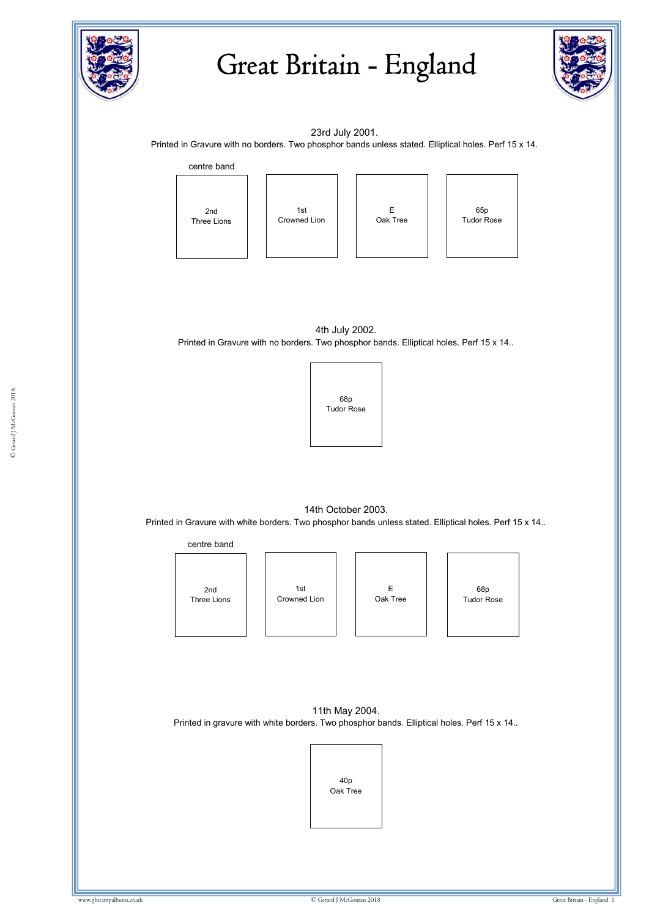

## Great Britain - England



23rd July 2001.

Printed in Gravure with no borders. Two phosphor bands unless stated. Elliptical holes. Perf 15 x 14.



1st Crowned Lion



65p Tudor Rose

4th July 2002. Printed in Gravure with no borders. Two phosphor bands. Elliptical holes. Perf 15 x 14..



14th October 2003. Printed in Gravure with white borders. Two phosphor bands unless stated. Elliptical holes. Perf 15 x 14..



11th May 2004. Printed in gravure with white borders. Two phosphor bands. Elliptical holes. Perf 15 x 14..

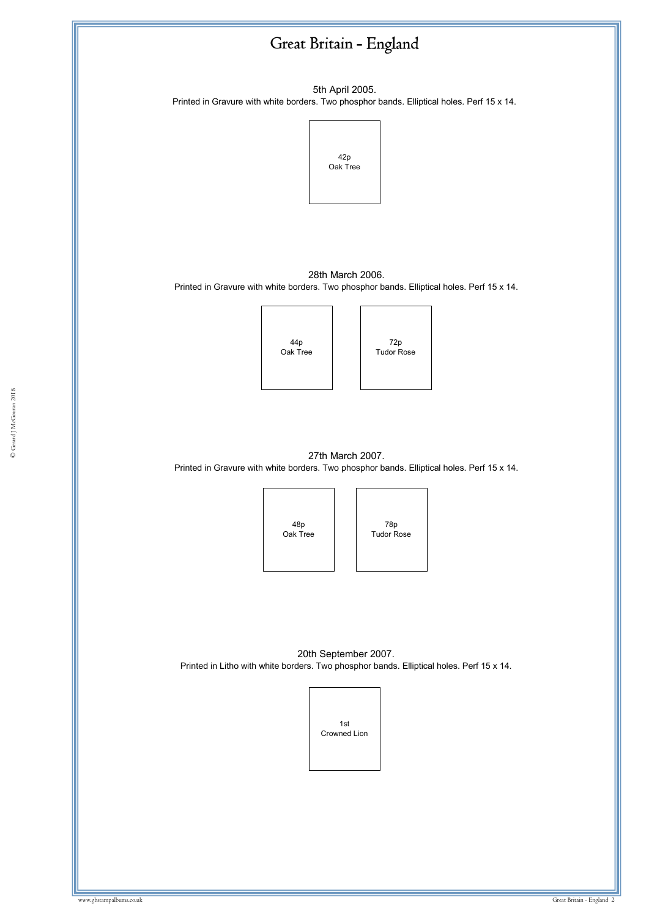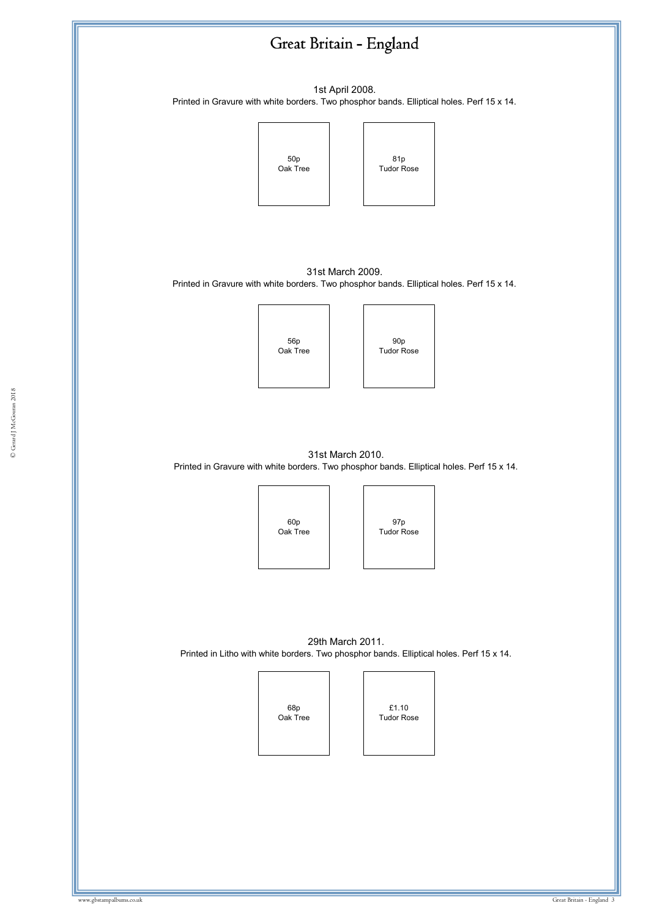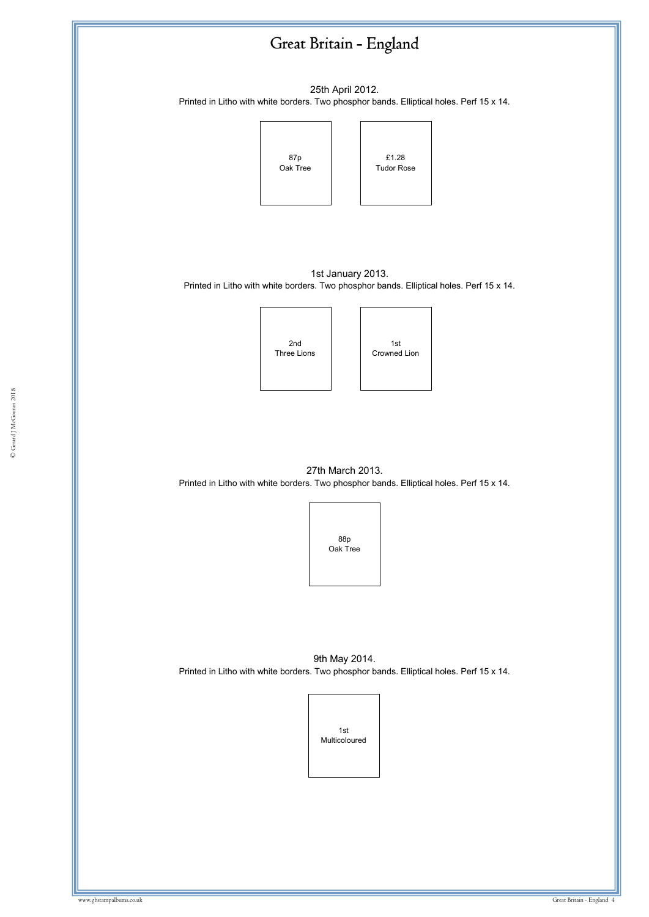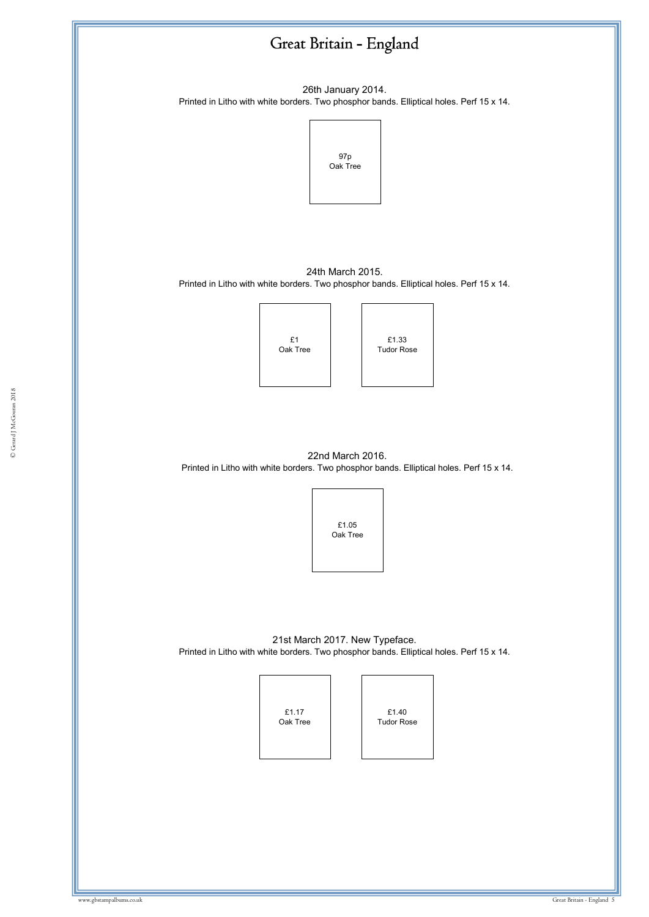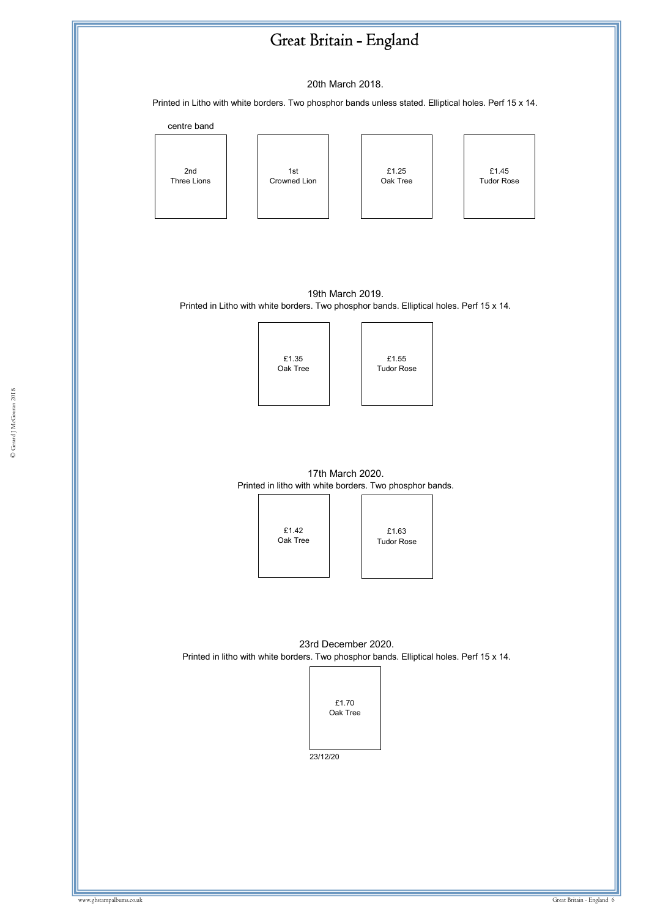## Great Britain - England

20th March 2018.

Printed in Litho with white borders. Two phosphor bands unless stated. Elliptical holes. Perf 15 x 14.



19th March 2019. Printed in Litho with white borders. Two phosphor bands. Elliptical holes. Perf 15 x 14.



|  | £1.35<br>Oak Tree |  | £1.55<br><b>Tudor Rose</b> |  |
|--|-------------------|--|----------------------------|--|
|--|-------------------|--|----------------------------|--|

17th March 2020. Printed in litho with white borders. Two phosphor bands.



£1.63 Tudor Rose

23rd December 2020. Printed in litho with white borders. Two phosphor bands. Elliptical holes. Perf 15 x 14.



23/12/20